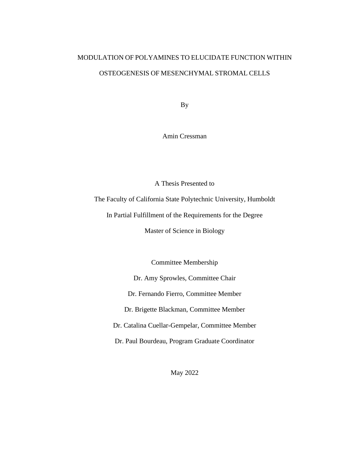# MODULATION OF POLYAMINES TO ELUCIDATE FUNCTION WITHIN OSTEOGENESIS OF MESENCHYMAL STROMAL CELLS

By

Amin Cressman

A Thesis Presented to

The Faculty of California State Polytechnic University, Humboldt

In Partial Fulfillment of the Requirements for the Degree

Master of Science in Biology

Committee Membership

Dr. Amy Sprowles, Committee Chair

Dr. Fernando Fierro, Committee Member

Dr. Brigette Blackman, Committee Member

Dr. Catalina Cuellar-Gempelar, Committee Member

Dr. Paul Bourdeau, Program Graduate Coordinator

May 2022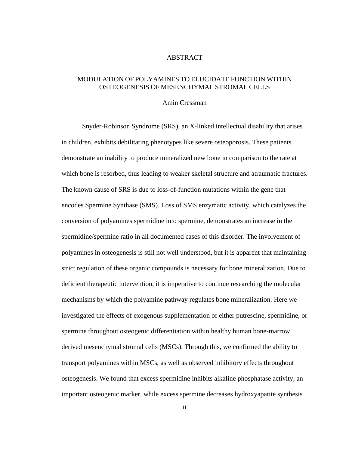#### ABSTRACT

### <span id="page-1-0"></span>MODULATION OF POLYAMINES TO ELUCIDATE FUNCTION WITHIN OSTEOGENESIS OF MESENCHYMAL STROMAL CELLS

#### Amin Cressman

Snyder-Robinson Syndrome (SRS), an X-linked intellectual disability that arises in children, exhibits debilitating phenotypes like severe osteoporosis. These patients demonstrate an inability to produce mineralized new bone in comparison to the rate at which bone is resorbed, thus leading to weaker skeletal structure and atraumatic fractures. The known cause of SRS is due to loss-of-function mutations within the gene that encodes Spermine Synthase (SMS). Loss of SMS enzymatic activity, which catalyzes the conversion of polyamines spermidine into spermine, demonstrates an increase in the spermidine/spermine ratio in all documented cases of this disorder. The involvement of polyamines in osteogenesis is still not well understood, but it is apparent that maintaining strict regulation of these organic compounds is necessary for bone mineralization. Due to deficient therapeutic intervention, it is imperative to continue researching the molecular mechanisms by which the polyamine pathway regulates bone mineralization. Here we investigated the effects of exogenous supplementation of either putrescine, spermidine, or spermine throughout osteogenic differentiation within healthy human bone-marrow derived mesenchymal stromal cells (MSCs). Through this, we confirmed the ability to transport polyamines within MSCs, as well as observed inhibitory effects throughout osteogenesis. We found that excess spermidine inhibits alkaline phosphatase activity, an important osteogenic marker, while excess spermine decreases hydroxyapatite synthesis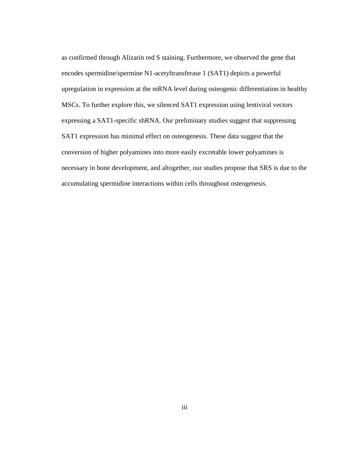as confirmed through Alizarin red S staining. Furthermore, we observed the gene that encodes spermidine/spermine N1-acetyltransferase 1 (SAT1) depicts a powerful upregulation in expression at the mRNA level during osteogenic differentiation in healthy MSCs. To further explore this, we silenced SAT1 expression using lentiviral vectors expressing a SAT1-specific shRNA. Our preliminary studies suggest that suppressing SAT1 expression has minimal effect on osteogenesis. These data suggest that the conversion of higher polyamines into more easily excretable lower polyamines is necessary in bone development, and altogether, our studies propose that SRS is due to the accumulating spermidine interactions within cells throughout osteogenesis.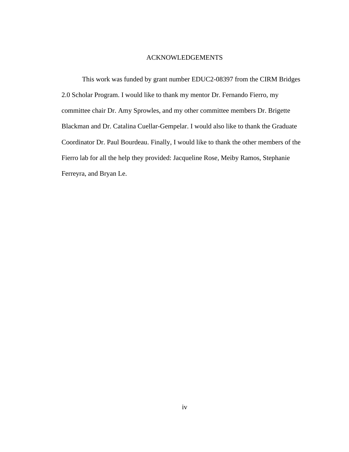#### ACKNOWLEDGEMENTS

<span id="page-3-0"></span>This work was funded by grant number EDUC2-08397 from the CIRM Bridges 2.0 Scholar Program. I would like to thank my mentor Dr. Fernando Fierro, my committee chair Dr. Amy Sprowles, and my other committee members Dr. Brigette Blackman and Dr. Catalina Cuellar-Gempelar. I would also like to thank the Graduate Coordinator Dr. Paul Bourdeau. Finally, I would like to thank the other members of the Fierro lab for all the help they provided: Jacqueline Rose, Meiby Ramos, Stephanie Ferreyra, and Bryan Le.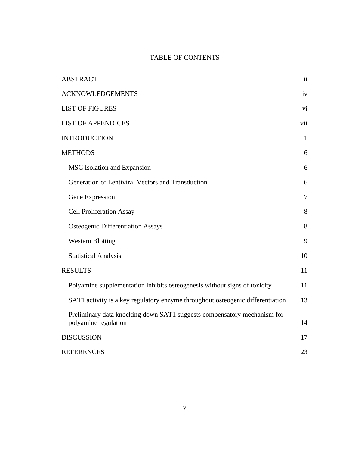## TABLE OF CONTENTS

| <b>ABSTRACT</b>                                                                                 | $\overline{\mathbf{u}}$ |
|-------------------------------------------------------------------------------------------------|-------------------------|
| <b>ACKNOWLEDGEMENTS</b>                                                                         | iv                      |
| <b>LIST OF FIGURES</b>                                                                          | vi                      |
| <b>LIST OF APPENDICES</b>                                                                       | vii                     |
| <b>INTRODUCTION</b>                                                                             | $\mathbf{1}$            |
| <b>METHODS</b>                                                                                  | 6                       |
| MSC Isolation and Expansion                                                                     | 6                       |
| Generation of Lentiviral Vectors and Transduction                                               | 6                       |
| Gene Expression                                                                                 | $\overline{7}$          |
| <b>Cell Proliferation Assay</b>                                                                 | 8                       |
| <b>Osteogenic Differentiation Assays</b>                                                        | 8                       |
| <b>Western Blotting</b>                                                                         | 9                       |
| <b>Statistical Analysis</b>                                                                     | 10                      |
| <b>RESULTS</b>                                                                                  | 11                      |
| Polyamine supplementation inhibits osteogenesis without signs of toxicity                       | 11                      |
| SAT1 activity is a key regulatory enzyme throughout osteogenic differentiation                  | 13                      |
| Preliminary data knocking down SAT1 suggests compensatory mechanism for<br>polyamine regulation | 14                      |
| <b>DISCUSSION</b>                                                                               | 17                      |
| <b>REFERENCES</b>                                                                               | 23                      |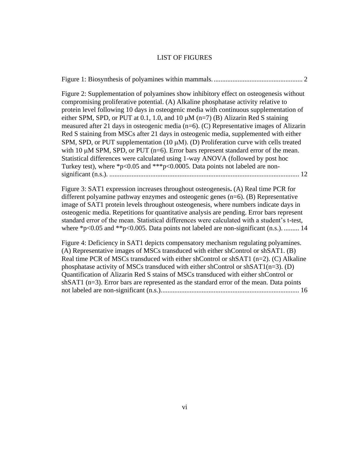#### LIST OF FIGURES

<span id="page-5-0"></span>[Figure 1: Biosynthesis of polyamines within mammals.....................................................](#page-8-0) 2

[Figure 2: Supplementation of polyamines show inhibitory effect on osteogenesis without](#page-18-0)  [compromising proliferative potential. \(A\) Alkaline phosphatase activity](#page-18-0) relative to [protein level following 10 days in osteogenic media with continuous supplementation of](#page-18-0)  [either SPM, SPD, or PUT at 0.1, 1.0, and 10](#page-18-0)  $\mu$ M (n=7) (B) Alizarin Red S staining [measured after 21 days in osteogenic media \(n=6\). \(C\) Representative images](#page-18-0) of Alizarin [Red S staining from MSCs after 21 days in osteogenic media, supplemented with either](#page-18-0)  SPM, SPD, or PUT supplementation  $(10 \mu M)$ . (D) Proliferation curve with cells treated with 10  $\mu$ [M SPM, SPD, or PUT \(n=6\). Error bars represent standard error of](#page-18-0) the mean. [Statistical differences were calculated using 1-way ANOVA \(followed by post hoc](#page-18-0)  [Turkey test\), where \\*p<0.05 and \\*\\*\\*p<0.0005. Data points not labeled are non](#page-18-0)significant (n.s.). [...............................................................................................................](#page-18-0) 12

[Figure 3: SAT1 expression increases throughout osteogenesis](#page-20-1)**.** (A) Real time PCR for [different polyamine pathway enzymes and osteogenic genes \(n=6\). \(B\) Representative](#page-20-1)  [image of SAT1 protein levels throughout osteogenesis, where numbers indicate days in](#page-20-1)  [osteogenic media. Repetitions for quantitative analysis are pending. Error bars represent](#page-20-1)  [standard error of the mean. Statistical differences were calculated with a student's t-test,](#page-20-1)  where  $p<0.05$  and  $p<0.005$ . Data points not labeled are non-significant (n.s.). ......... 14

[Figure 4: Deficiency in SAT1 depicts compensatory mechanism regulating polyamines.](#page-22-0)  [\(A\) Representative images of MSCs transduced with either shControl or shSAT1. \(B\)](#page-22-0)  [Real time PCR of MSCs transduced with either shControl or shSAT1 \(n=2\). \(C\) Alkaline](#page-22-0)  phosphatase activity of MSCs transduced with either shControl or  $shSAT1(n=3)$ . (D) [Quantification of Alizarin Red S stains of MSCs transduced with either shControl or](#page-22-0)  shSAT1 (n=3). Error bars are represented as the standard error of the mean. Data points [not labeled are non-significant \(n.s.\).................................................................................](#page-22-0) 16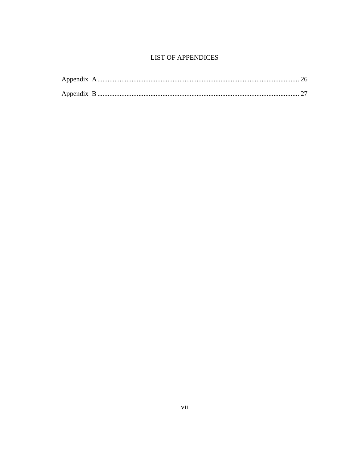## **LIST OF APPENDICES**

<span id="page-6-0"></span>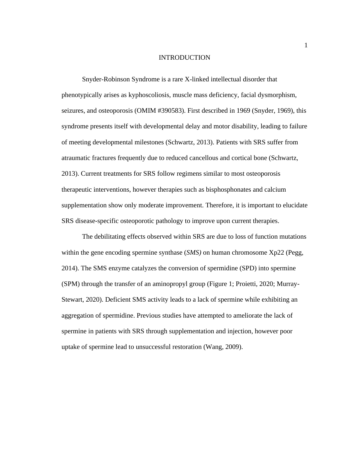#### INTRODUCTION

<span id="page-7-0"></span>Snyder-Robinson Syndrome is a rare X-linked intellectual disorder that phenotypically arises as kyphoscoliosis, muscle mass deficiency, facial dysmorphism, seizures, and osteoporosis (OMIM #390583). First described in 1969 (Snyder, 1969), this syndrome presents itself with developmental delay and motor disability, leading to failure of meeting developmental milestones (Schwartz, 2013). Patients with SRS suffer from atraumatic fractures frequently due to reduced cancellous and cortical bone (Schwartz, 2013). Current treatments for SRS follow regimens similar to most osteoporosis therapeutic interventions, however therapies such as bisphosphonates and calcium supplementation show only moderate improvement. Therefore, it is important to elucidate SRS disease-specific osteoporotic pathology to improve upon current therapies.

The debilitating effects observed within SRS are due to loss of function mutations within the gene encoding spermine synthase (*SMS)* on human chromosome Xp22 (Pegg, 2014). The SMS enzyme catalyzes the conversion of spermidine (SPD) into spermine (SPM) through the transfer of an aminopropyl group (Figure 1; Proietti, 2020; Murray-Stewart, 2020). Deficient SMS activity leads to a lack of spermine while exhibiting an aggregation of spermidine. Previous studies have attempted to ameliorate the lack of spermine in patients with SRS through supplementation and injection, however poor uptake of spermine lead to unsuccessful restoration (Wang, 2009).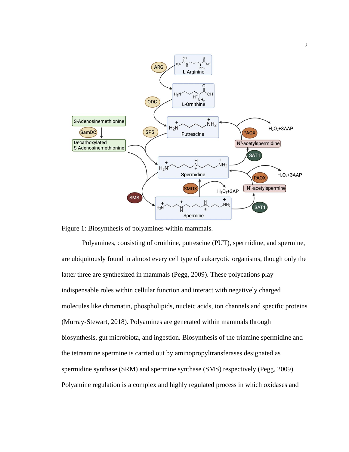

<span id="page-8-0"></span>

Polyamines, consisting of ornithine, putrescine (PUT), spermidine, and spermine, are ubiquitously found in almost every cell type of eukaryotic organisms, though only the latter three are synthesized in mammals (Pegg, 2009). These polycations play indispensable roles within cellular function and interact with negatively charged molecules like chromatin, phospholipids, nucleic acids, ion channels and specific proteins (Murray-Stewart, 2018). Polyamines are generated within mammals through biosynthesis, gut microbiota, and ingestion. Biosynthesis of the triamine spermidine and the tetraamine spermine is carried out by aminopropyltransferases designated as spermidine synthase (SRM) and spermine synthase (SMS) respectively (Pegg, 2009). Polyamine regulation is a complex and highly regulated process in which oxidases and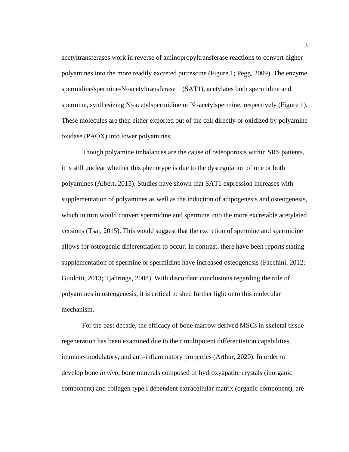acetyltransferases work in reverse of aminopropyltransferase reactions to convert higher polyamines into the more readily excreted putrescine (Figure 1; Pegg, 2009). The enzyme spermidine/spermine-N<sup>1</sup>-acetyltransferase 1 (SAT1), acetylates both spermidine and spermine, synthesizing  $N$ -acetylspermidine or  $N$ -acetylspermine, respectively (Figure 1). These molecules are then either exported out of the cell directly or oxidized by polyamine oxidase (PAOX) into lower polyamines.

Though polyamine imbalances are the cause of osteoporosis within SRS patients, it is still unclear whether this phenotype is due to the dysregulation of one or both polyamines (Albert, 2015). Studies have shown that SAT1 expression increases with supplementation of polyamines as well as the induction of adipogenesis and osteogenesis, which in turn would convert spermidine and spermine into the more excretable acetylated versions (Tsai, 2015). This would suggest that the excretion of spermine and spermidine allows for osteogenic differentiation to occur. In contrast, there have been reports stating supplementation of spermine or spermidine have increased osteogenesis (Facchini, 2012; Guidotti, 2013; Tjabringa, 2008). With discordant conclusions regarding the role of polyamines in osteogenesis, it is critical to shed further light onto this molecular mechanism.

For the past decade, the efficacy of bone marrow derived MSCs in skeletal tissue regeneration has been examined due to their multipotent differentiation capabilities, immune-modulatory, and anti-inflammatory properties (Arthur, 2020). In order to develop bone *in vivo*, bone minerals composed of hydroxyapatite crystals (inorganic component) and collagen type I dependent extracellular matrix (organic component), are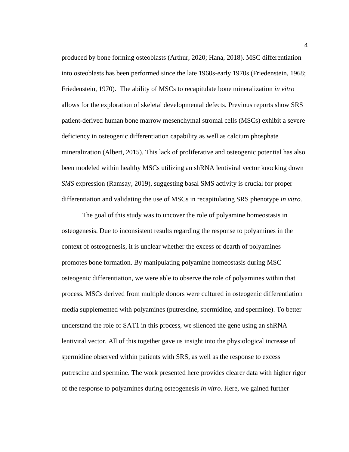produced by bone forming osteoblasts (Arthur, 2020; Hana, 2018). MSC differentiation into osteoblasts has been performed since the late 1960s-early 1970s (Friedenstein, 1968; Friedenstein, 1970). The ability of MSCs to recapitulate bone mineralization *in vitro* allows for the exploration of skeletal developmental defects. Previous reports show SRS patient-derived human bone marrow mesenchymal stromal cells (MSCs) exhibit a severe deficiency in osteogenic differentiation capability as well as calcium phosphate mineralization (Albert, 2015). This lack of proliferative and osteogenic potential has also been modeled within healthy MSCs utilizing an shRNA lentiviral vector knocking down *SMS* expression (Ramsay, 2019), suggesting basal SMS activity is crucial for proper differentiation and validating the use of MSCs in recapitulating SRS phenotype *in vitro.* 

The goal of this study was to uncover the role of polyamine homeostasis in osteogenesis. Due to inconsistent results regarding the response to polyamines in the context of osteogenesis, it is unclear whether the excess or dearth of polyamines promotes bone formation. By manipulating polyamine homeostasis during MSC osteogenic differentiation, we were able to observe the role of polyamines within that process. MSCs derived from multiple donors were cultured in osteogenic differentiation media supplemented with polyamines (putrescine, spermidine, and spermine). To better understand the role of SAT1 in this process, we silenced the gene using an shRNA lentiviral vector. All of this together gave us insight into the physiological increase of spermidine observed within patients with SRS, as well as the response to excess putrescine and spermine. The work presented here provides clearer data with higher rigor of the response to polyamines during osteogenesis *in vitro*. Here, we gained further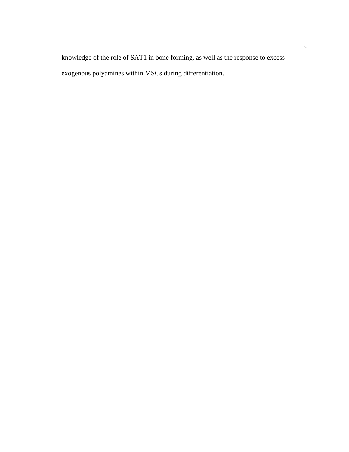knowledge of the role of SAT1 in bone forming, as well as the response to excess exogenous polyamines within MSCs during differentiation.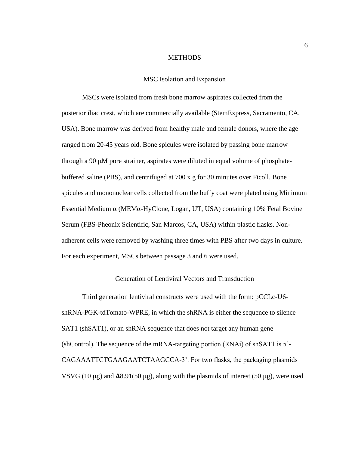#### **METHODS**

#### MSC Isolation and Expansion

<span id="page-12-1"></span><span id="page-12-0"></span>MSCs were isolated from fresh bone marrow aspirates collected from the posterior iliac crest, which are commercially available (StemExpress, Sacramento, CA, USA). Bone marrow was derived from healthy male and female donors, where the age ranged from 20-45 years old. Bone spicules were isolated by passing bone marrow through a 90  $\mu$ M pore strainer, aspirates were diluted in equal volume of phosphatebuffered saline (PBS), and centrifuged at 700 x g for 30 minutes over Ficoll. Bone spicules and mononuclear cells collected from the buffy coat were plated using Minimum Essential Medium  $\alpha$  (MEM $\alpha$ -HyClone, Logan, UT, USA) containing 10% Fetal Bovine Serum (FBS-Pheonix Scientific, San Marcos, CA, USA) within plastic flasks. Nonadherent cells were removed by washing three times with PBS after two days in culture. For each experiment, MSCs between passage 3 and 6 were used.

#### Generation of Lentiviral Vectors and Transduction

<span id="page-12-2"></span>Third generation lentiviral constructs were used with the form: pCCLc-U6 shRNA-PGK-tdTomato-WPRE, in which the shRNA is either the sequence to silence SAT1 (shSAT1), or an shRNA sequence that does not target any human gene (shControl). The sequence of the mRNA-targeting portion (RNAi) of shSAT1 is 5'- CAGAAATTCTGAAGAATCTAAGCCA-3'. For two flasks, the packaging plasmids VSVG (10  $\mu$ g) and  $\Delta$ 8.91(50  $\mu$ g), along with the plasmids of interest (50  $\mu$ g), were used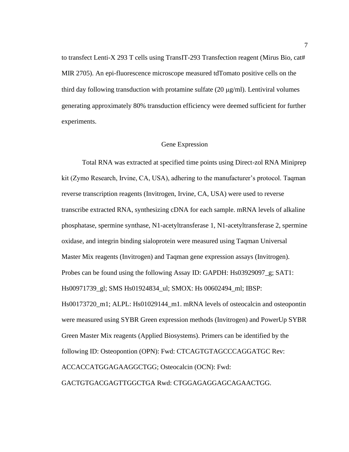to transfect Lenti-X 293 T cells using TransIT-293 Transfection reagent (Mirus Bio, cat# MIR 2705). An epi-fluorescence microscope measured tdTomato positive cells on the third day following transduction with protamine sulfate  $(20 \mu g/ml)$ . Lentiviral volumes generating approximately 80% transduction efficiency were deemed sufficient for further experiments.

#### Gene Expression

<span id="page-13-0"></span>Total RNA was extracted at specified time points using Direct-zol RNA Miniprep kit (Zymo Research, Irvine, CA, USA), adhering to the manufacturer's protocol. Taqman reverse transcription reagents (Invitrogen, Irvine, CA, USA) were used to reverse transcribe extracted RNA, synthesizing cDNA for each sample. mRNA levels of alkaline phosphatase, spermine synthase, N1-acetyltransferase 1, N1-acetyltransferase 2, spermine oxidase, and integrin binding sialoprotein were measured using Taqman Universal Master Mix reagents (Invitrogen) and Taqman gene expression assays (Invitrogen). Probes can be found using the following Assay ID: GAPDH: Hs03929097\_g; SAT1: Hs00971739\_gl; SMS Hs01924834\_ul; SMOX: Hs 00602494\_ml; IBSP: Hs00173720\_m1; ALPL: Hs01029144\_m1. mRNA levels of osteocalcin and osteopontin were measured using SYBR Green expression methods (Invitrogen) and PowerUp SYBR Green Master Mix reagents (Applied Biosystems). Primers can be identified by the following ID: Osteopontion (OPN): Fwd: CTCAGTGTAGCCCAGGATGC Rev: ACCACCATGGAGAAGGCTGG; Osteocalcin (OCN): Fwd: GACTGTGACGAGTTGGCTGA Rwd: CTGGAGAGGAGCAGAACTGG.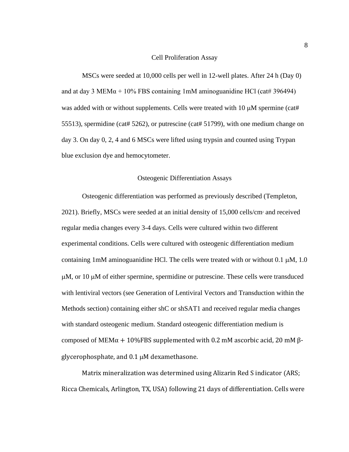#### Cell Proliferation Assay

<span id="page-14-0"></span>MSCs were seeded at 10,000 cells per well in 12-well plates. After 24 h (Day 0) and at day 3 MEM $\alpha$  + 10% FBS containing 1mM aminoguanidine HCl (cat# 396494) was added with or without supplements. Cells were treated with  $10 \mu M$  spermine (cat# 55513), spermidine (cat# 5262), or putrescine (cat# 51799), with one medium change on day 3. On day 0, 2, 4 and 6 MSCs were lifted using trypsin and counted using Trypan blue exclusion dye and hemocytometer.

#### Osteogenic Differentiation Assays

<span id="page-14-1"></span>Osteogenic differentiation was performed as previously described (Templeton, 2021). Briefly, MSCs were seeded at an initial density of 15,000 cells/cm<sup>2</sup> and received regular media changes every 3-4 days. Cells were cultured within two different experimental conditions. Cells were cultured with osteogenic differentiation medium containing 1mM aminoguanidine HCl. The cells were treated with or without  $0.1 \mu M$ ,  $1.0 \mu m$  $\mu$ M, or 10  $\mu$ M of either spermine, spermidine or putrescine. These cells were transduced with lentiviral vectors (see Generation of Lentiviral Vectors and Transduction within the Methods section) containing either shC or shSAT1 and received regular media changes with standard osteogenic medium. Standard osteogenic differentiation medium is composed of MEMα + 10%FBS supplemented with 0.2 mM ascorbic acid, 20 mM  $\beta$ glycerophosphate, and  $0.1 \mu M$  dexamethasone.

Matrix mineralization was determined using Alizarin Red S indicator (ARS; Ricca Chemicals, Arlington, TX, USA) following 21 days of differentiation. Cells were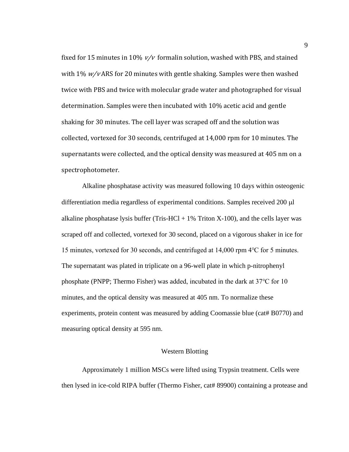fixed for 15 minutes in 10%  $v/v$  formalin solution, washed with PBS, and stained with  $1\%$   $w/v$  ARS for 20 minutes with gentle shaking. Samples were then washed twice with PBS and twice with molecular grade water and photographed for visual determination. Samples were then incubated with 10% acetic acid and gentle shaking for 30 minutes. The cell layer was scraped off and the solution was collected, vortexed for 30 seconds, centrifuged at 14,000 rpm for 10 minutes. The supernatants were collected, and the optical density was measured at 405 nm on a spectrophotometer.

Alkaline phosphatase activity was measured following 10 days within osteogenic differentiation media regardless of experimental conditions. Samples received  $200 \mu l$ alkaline phosphatase lysis buffer (Tris-HCl  $+1\%$  Triton X-100), and the cells layer was scraped off and collected, vortexed for 30 second, placed on a vigorous shaker in ice for 15 minutes, vortexed for 30 seconds, and centrifuged at 14,000 rpm 4℃ for 5 minutes. The supernatant was plated in triplicate on a 96-well plate in which p-nitrophenyl phosphate (PNPP; Thermo Fisher) was added, incubated in the dark at 37℃ for 10 minutes, and the optical density was measured at 405 nm. To normalize these experiments, protein content was measured by adding Coomassie blue (cat# B0770) and measuring optical density at 595 nm.

#### Western Blotting

<span id="page-15-0"></span>Approximately 1 million MSCs were lifted using Trypsin treatment. Cells were then lysed in ice-cold RIPA buffer (Thermo Fisher, cat# 89900) containing a protease and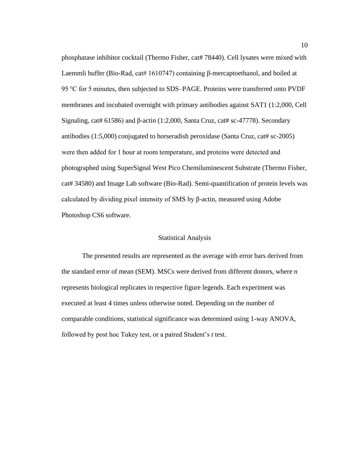phosphatase inhibitor cocktail (Thermo Fisher, cat# 78440). Cell lysates were mixed with Laemmli buffer (Bio-Rad, cat# 1610747) containing β-mercaptoethanol, and boiled at 95 °C for 5 minutes, then subjected to SDS–PAGE. Proteins were transferred onto PVDF membranes and incubated overnight with primary antibodies against SAT1 (1:2,000, Cell Signaling, cat# 61586) and  $\beta$ -actin (1:2,000, Santa Cruz, cat# sc-47778). Secondary antibodies  $(1:5,000)$  conjugated to horseradish peroxidase (Santa Cruz, cat# sc-2005) were then added for 1 hour at room temperature, and proteins were detected and photographed using SuperSignal West Pico Chemiluminescent Substrate (Thermo Fisher, cat# 34580) and Image Lab software (Bio-Rad). Semi-quantification of protein levels was calculated by dividing pixel intensity of SMS by β-actin, measured using Adobe Photoshop CS6 software.

#### Statistical Analysis

<span id="page-16-0"></span>The presented results are represented as the average with error bars derived from the standard error of mean (SEM). MSCs were derived from different donors, where *n* represents biological replicates in respective figure legends. Each experiment was executed at least 4 times unless otherwise noted. Depending on the number of comparable conditions, statistical significance was determined using 1-way ANOVA, followed by post hoc Tukey test, or a paired Student's *t* test.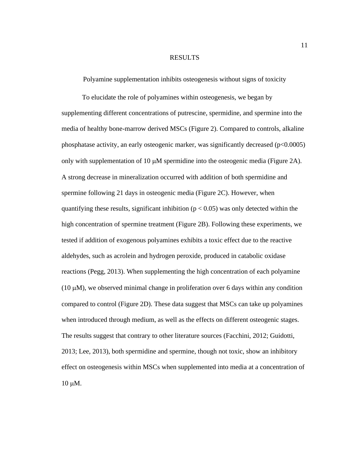#### RESULTS

<span id="page-17-0"></span>Polyamine supplementation inhibits osteogenesis without signs of toxicity

<span id="page-17-1"></span>To elucidate the role of polyamines within osteogenesis, we began by supplementing different concentrations of putrescine, spermidine, and spermine into the media of healthy bone-marrow derived MSCs (Figure 2). Compared to controls, alkaline phosphatase activity, an early osteogenic marker, was significantly decreased (p<0.0005) only with supplementation of 10  $\mu$ M spermidine into the osteogenic media (Figure 2A). A strong decrease in mineralization occurred with addition of both spermidine and spermine following 21 days in osteogenic media (Figure 2C). However, when quantifying these results, significant inhibition ( $p < 0.05$ ) was only detected within the high concentration of spermine treatment (Figure 2B). Following these experiments, we tested if addition of exogenous polyamines exhibits a toxic effect due to the reactive aldehydes, such as acrolein and hydrogen peroxide, produced in catabolic oxidase reactions (Pegg, 2013). When supplementing the high concentration of each polyamine  $(10 \mu M)$ , we observed minimal change in proliferation over 6 days within any condition compared to control (Figure 2D). These data suggest that MSCs can take up polyamines when introduced through medium, as well as the effects on different osteogenic stages. The results suggest that contrary to other literature sources (Facchini, 2012; Guidotti, 2013; Lee, 2013), both spermidine and spermine, though not toxic, show an inhibitory effect on osteogenesis within MSCs when supplemented into media at a concentration of  $10 \mu M$ .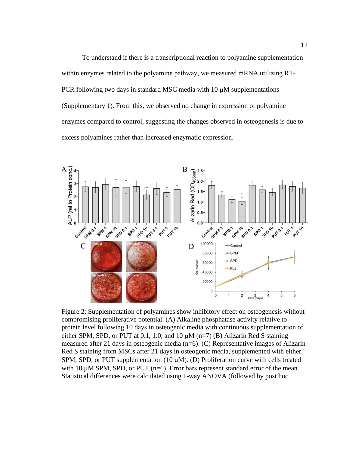To understand if there is a transcriptional reaction to polyamine supplementation within enzymes related to the polyamine pathway, we measured mRNA utilizing RT-PCR following two days in standard MSC media with  $10 \mu$ M supplementations (Supplementary 1). From this, we observed no change in expression of polyamine enzymes compared to control, suggesting the changes observed in osteogenesis is due to excess polyamines rather than increased enzymatic expression.



<span id="page-18-0"></span>Figure 2: Supplementation of polyamines show inhibitory effect on osteogenesis without compromising proliferative potential. (A) Alkaline phosphatase activity relative to protein level following 10 days in osteogenic media with continuous supplementation of either SPM, SPD, or PUT at 0.1, 1.0, and 10  $\mu$ M (n=7) (B) Alizarin Red S staining measured after 21 days in osteogenic media (n=6). (C) Representative images of Alizarin Red S staining from MSCs after 21 days in osteogenic media, supplemented with either SPM, SPD, or PUT supplementation  $(10 \mu M)$ . (D) Proliferation curve with cells treated with 10  $\mu$ M SPM, SPD, or PUT ( $n=6$ ). Error bars represent standard error of the mean. Statistical differences were calculated using 1-way ANOVA (followed by post hoc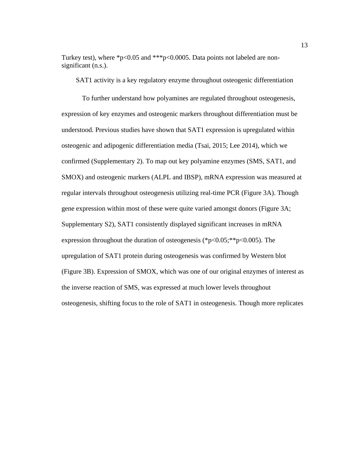Turkey test), where \*p<0.05 and \*\*\*p<0.0005. Data points not labeled are nonsignificant (n.s.).

<span id="page-19-0"></span>SAT1 activity is a key regulatory enzyme throughout osteogenic differentiation

To further understand how polyamines are regulated throughout osteogenesis, expression of key enzymes and osteogenic markers throughout differentiation must be understood. Previous studies have shown that SAT1 expression is upregulated within osteogenic and adipogenic differentiation media (Tsai, 2015; Lee 2014), which we confirmed (Supplementary 2). To map out key polyamine enzymes (SMS, SAT1, and SMOX) and osteogenic markers (ALPL and IBSP), mRNA expression was measured at regular intervals throughout osteogenesis utilizing real-time PCR (Figure 3A). Though gene expression within most of these were quite varied amongst donors (Figure 3A; Supplementary S2), SAT1 consistently displayed significant increases in mRNA expression throughout the duration of osteogenesis (\*p<0.05;\*\*p<0.005). The upregulation of SAT1 protein during osteogenesis was confirmed by Western blot (Figure 3B). Expression of SMOX, which was one of our original enzymes of interest as the inverse reaction of SMS, was expressed at much lower levels throughout osteogenesis, shifting focus to the role of SAT1 in osteogenesis. Though more replicates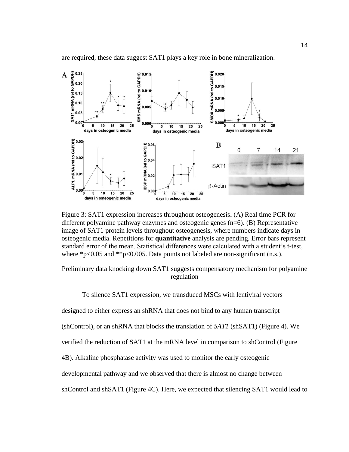

are required, these data suggest SAT1 plays a key role in bone mineralization.

<span id="page-20-1"></span>Figure 3: SAT1 expression increases throughout osteogenesis**.** (A) Real time PCR for different polyamine pathway enzymes and osteogenic genes (n=6). (B) Representative image of SAT1 protein levels throughout osteogenesis, where numbers indicate days in osteogenic media. Repetitions for **quantitative** analysis are pending. Error bars represent standard error of the mean. Statistical differences were calculated with a student's t-test, where  $p<0.05$  and  $p<0.005$ . Data points not labeled are non-significant (n.s.).

<span id="page-20-0"></span>Preliminary data knocking down SAT1 suggests compensatory mechanism for polyamine regulation

To silence SAT1 expression, we transduced MSCs with lentiviral vectors

designed to either express an shRNA that does not bind to any human transcript

(shControl), or an shRNA that blocks the translation of *SAT1* (shSAT1) (Figure 4). We

verified the reduction of SAT1 at the mRNA level in comparison to shControl (Figure

4B). Alkaline phosphatase activity was used to monitor the early osteogenic

developmental pathway and we observed that there is almost no change between

shControl and shSAT1 (Figure 4C). Here, we expected that silencing SAT1 would lead to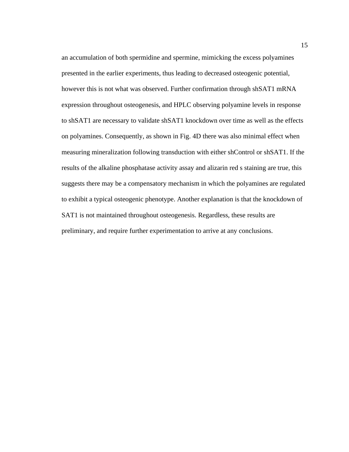an accumulation of both spermidine and spermine, mimicking the excess polyamines presented in the earlier experiments, thus leading to decreased osteogenic potential, however this is not what was observed. Further confirmation through shSAT1 mRNA expression throughout osteogenesis, and HPLC observing polyamine levels in response to shSAT1 are necessary to validate shSAT1 knockdown over time as well as the effects on polyamines. Consequently, as shown in Fig. 4D there was also minimal effect when measuring mineralization following transduction with either shControl or shSAT1. If the results of the alkaline phosphatase activity assay and alizarin red s staining are true, this suggests there may be a compensatory mechanism in which the polyamines are regulated to exhibit a typical osteogenic phenotype. Another explanation is that the knockdown of SAT1 is not maintained throughout osteogenesis. Regardless, these results are preliminary, and require further experimentation to arrive at any conclusions.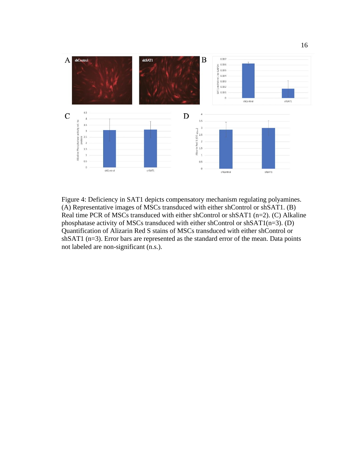

<span id="page-22-0"></span>Figure 4: Deficiency in SAT1 depicts compensatory mechanism regulating polyamines. (A) Representative images of MSCs transduced with either shControl or shSAT1. (B) Real time PCR of MSCs transduced with either shControl or shSAT1 (n=2). (C) Alkaline phosphatase activity of MSCs transduced with either shControl or shSAT1(n=3). (D) Quantification of Alizarin Red S stains of MSCs transduced with either shControl or shSAT1 (n=3). Error bars are represented as the standard error of the mean. Data points not labeled are non-significant (n.s.).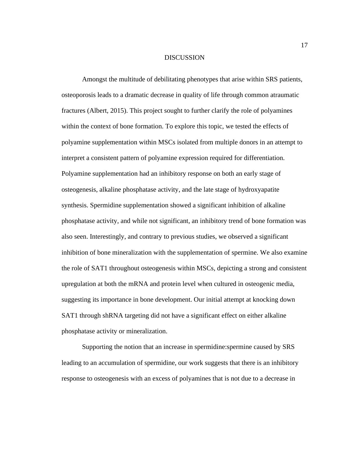#### **DISCUSSION**

<span id="page-23-0"></span>Amongst the multitude of debilitating phenotypes that arise within SRS patients, osteoporosis leads to a dramatic decrease in quality of life through common atraumatic fractures (Albert, 2015). This project sought to further clarify the role of polyamines within the context of bone formation. To explore this topic, we tested the effects of polyamine supplementation within MSCs isolated from multiple donors in an attempt to interpret a consistent pattern of polyamine expression required for differentiation. Polyamine supplementation had an inhibitory response on both an early stage of osteogenesis, alkaline phosphatase activity, and the late stage of hydroxyapatite synthesis. Spermidine supplementation showed a significant inhibition of alkaline phosphatase activity, and while not significant, an inhibitory trend of bone formation was also seen. Interestingly, and contrary to previous studies, we observed a significant inhibition of bone mineralization with the supplementation of spermine. We also examine the role of SAT1 throughout osteogenesis within MSCs, depicting a strong and consistent upregulation at both the mRNA and protein level when cultured in osteogenic media, suggesting its importance in bone development. Our initial attempt at knocking down SAT1 through shRNA targeting did not have a significant effect on either alkaline phosphatase activity or mineralization.

Supporting the notion that an increase in spermidine:spermine caused by SRS leading to an accumulation of spermidine, our work suggests that there is an inhibitory response to osteogenesis with an excess of polyamines that is not due to a decrease in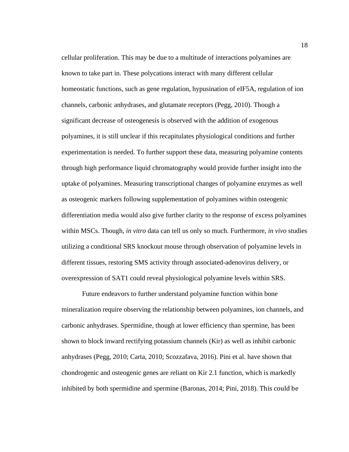cellular proliferation. This may be due to a multitude of interactions polyamines are known to take part in. These polycations interact with many different cellular homeostatic functions, such as gene regulation, hypusination of eIF5A, regulation of ion channels, carbonic anhydrases, and glutamate receptors (Pegg, 2010). Though a significant decrease of osteogenesis is observed with the addition of exogenous polyamines, it is still unclear if this recapitulates physiological conditions and further experimentation is needed. To further support these data, measuring polyamine contents through high performance liquid chromatography would provide further insight into the uptake of polyamines. Measuring transcriptional changes of polyamine enzymes as well as osteogenic markers following supplementation of polyamines within osteogenic differentiation media would also give further clarity to the response of excess polyamines within MSCs. Though, *in vitro* data can tell us only so much. Furthermore, *in vivo* studies utilizing a conditional SRS knockout mouse through observation of polyamine levels in different tissues, restoring SMS activity through associated-adenovirus delivery, or overexpression of SAT1 could reveal physiological polyamine levels within SRS.

Future endeavors to further understand polyamine function within bone mineralization require observing the relationship between polyamines, ion channels, and carbonic anhydrases. Spermidine, though at lower efficiency than spermine, has been shown to block inward rectifying potassium channels (Kir) as well as inhibit carbonic anhydrases (Pegg, 2010; Carta, 2010; Scozzafava, 2016). Pini et al. have shown that chondrogenic and osteogenic genes are reliant on Kir 2.1 function, which is markedly inhibited by both spermidine and spermine (Baronas, 2014; Pini, 2018). This could be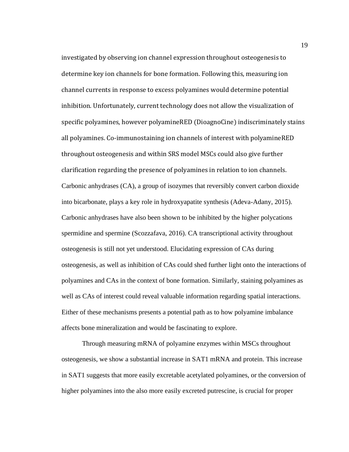investigated by observing ion channel expression throughout osteogenesis to determine key ion channels for bone formation. Following this, measuring ion channel currents in response to excess polyamines would determine potential inhibition. Unfortunately, current technology does not allow the visualization of specific polyamines, however polyamineRED (DioagnoCine) indiscriminately stains all polyamines. Co-immunostaining ion channels of interest with polyamineRED throughout osteogenesis and within SRS model MSCs could also give further clarification regarding the presence of polyamines in relation to ion channels. Carbonic anhydrases (CA), a group of isozymes that reversibly convert carbon dioxide into bicarbonate, plays a key role in hydroxyapatite synthesis (Adeva-Adany, 2015). Carbonic anhydrases have also been shown to be inhibited by the higher polycations spermidine and spermine (Scozzafava, 2016). CA transcriptional activity throughout osteogenesis is still not yet understood. Elucidating expression of CAs during osteogenesis, as well as inhibition of CAs could shed further light onto the interactions of polyamines and CAs in the context of bone formation. Similarly, staining polyamines as well as CAs of interest could reveal valuable information regarding spatial interactions. Either of these mechanisms presents a potential path as to how polyamine imbalance affects bone mineralization and would be fascinating to explore.

Through measuring mRNA of polyamine enzymes within MSCs throughout osteogenesis, we show a substantial increase in SAT1 mRNA and protein. This increase in SAT1 suggests that more easily excretable acetylated polyamines, or the conversion of higher polyamines into the also more easily excreted putrescine, is crucial for proper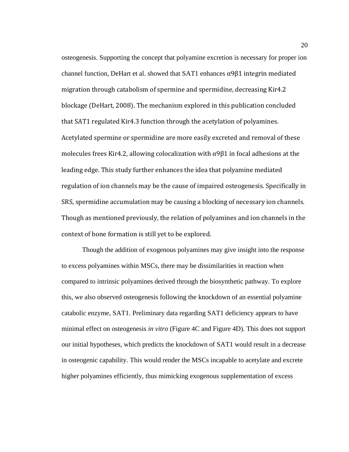osteogenesis. Supporting the concept that polyamine excretion is necessary for proper ion channel function, DeHart et al. showed that SAT1 enhances  $\alpha$ 9 $\beta$ 1 integrin mediated migration through catabolism of spermine and spermidine, decreasing Kir4.2 blockage (DeHart, 2008). The mechanism explored in this publication concluded that SAT1 regulated Kir4.3 function through the acetylation of polyamines. Acetylated spermine or spermidine are more easily excreted and removal of these molecules frees Kir4.2, allowing colocalization with  $\alpha$ 9 $\beta$ 1 in focal adhesions at the leading edge. This study further enhances the idea that polyamine mediated regulation of ion channels may be the cause of impaired osteogenesis. Specifically in SRS, spermidine accumulation may be causing a blocking of necessary ion channels. Though as mentioned previously, the relation of polyamines and ion channels in the context of bone formation is still yet to be explored.

Though the addition of exogenous polyamines may give insight into the response to excess polyamines within MSCs, there may be dissimilarities in reaction when compared to intrinsic polyamines derived through the biosynthetic pathway. To explore this, we also observed osteogenesis following the knockdown of an essential polyamine catabolic enzyme, SAT1. Preliminary data regarding SAT1 deficiency appears to have minimal effect on osteogenesis *in vitro* (Figure 4C and Figure 4D). This does not support our initial hypotheses, which predicts the knockdown of SAT1 would result in a decrease in osteogenic capability. This would render the MSCs incapable to acetylate and excrete higher polyamines efficiently, thus mimicking exogenous supplementation of excess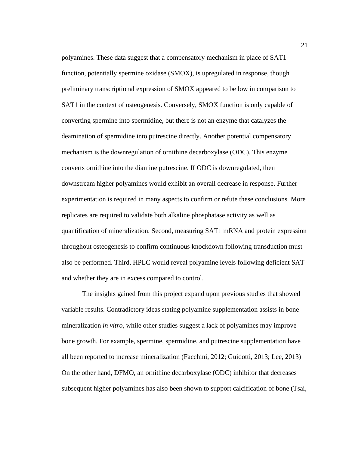polyamines. These data suggest that a compensatory mechanism in place of SAT1 function, potentially spermine oxidase (SMOX), is upregulated in response, though preliminary transcriptional expression of SMOX appeared to be low in comparison to SAT1 in the context of osteogenesis. Conversely, SMOX function is only capable of converting spermine into spermidine, but there is not an enzyme that catalyzes the deamination of spermidine into putrescine directly. Another potential compensatory mechanism is the downregulation of ornithine decarboxylase (ODC). This enzyme converts ornithine into the diamine putrescine. If ODC is downregulated, then downstream higher polyamines would exhibit an overall decrease in response. Further experimentation is required in many aspects to confirm or refute these conclusions. More replicates are required to validate both alkaline phosphatase activity as well as quantification of mineralization. Second, measuring SAT1 mRNA and protein expression throughout osteogenesis to confirm continuous knockdown following transduction must also be performed. Third, HPLC would reveal polyamine levels following deficient SAT and whether they are in excess compared to control.

The insights gained from this project expand upon previous studies that showed variable results. Contradictory ideas stating polyamine supplementation assists in bone mineralization *in vitro,* while other studies suggest a lack of polyamines may improve bone growth. For example, spermine, spermidine, and putrescine supplementation have all been reported to increase mineralization (Facchini, 2012; Guidotti, 2013; Lee, 2013) On the other hand, DFMO, an ornithine decarboxylase (ODC) inhibitor that decreases subsequent higher polyamines has also been shown to support calcification of bone (Tsai,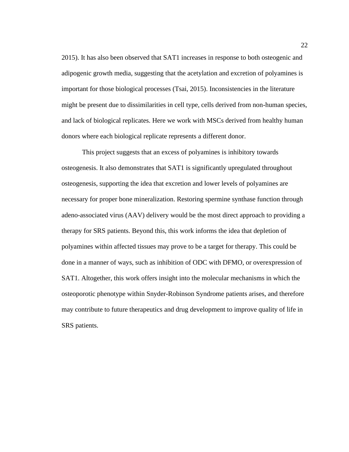2015). It has also been observed that SAT1 increases in response to both osteogenic and adipogenic growth media, suggesting that the acetylation and excretion of polyamines is important for those biological processes (Tsai, 2015). Inconsistencies in the literature might be present due to dissimilarities in cell type, cells derived from non-human species, and lack of biological replicates. Here we work with MSCs derived from healthy human donors where each biological replicate represents a different donor.

This project suggests that an excess of polyamines is inhibitory towards osteogenesis. It also demonstrates that SAT1 is significantly upregulated throughout osteogenesis, supporting the idea that excretion and lower levels of polyamines are necessary for proper bone mineralization. Restoring spermine synthase function through adeno-associated virus (AAV) delivery would be the most direct approach to providing a therapy for SRS patients. Beyond this, this work informs the idea that depletion of polyamines within affected tissues may prove to be a target for therapy. This could be done in a manner of ways, such as inhibition of ODC with DFMO, or overexpression of SAT1. Altogether, this work offers insight into the molecular mechanisms in which the osteoporotic phenotype within Snyder-Robinson Syndrome patients arises, and therefore may contribute to future therapeutics and drug development to improve quality of life in SRS patients.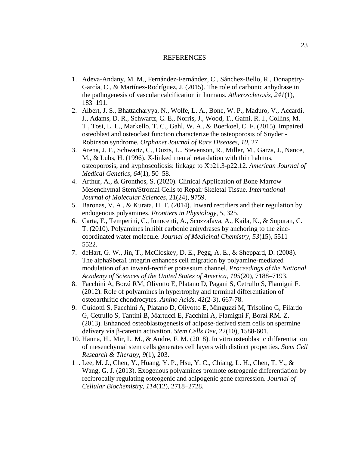#### REFERENCES

- <span id="page-29-0"></span>1. Adeva-Andany, M. M., Fernández-Fernández, C., Sánchez-Bello, R., Donapetry-García, C., & Martínez-Rodríguez, J. (2015). The role of carbonic anhydrase in the pathogenesis of vascular calcification in humans. *Atherosclerosis*, *241*(1), 183–191.
- 2. Albert, J. S., Bhattacharyya, N., Wolfe, L. A., Bone, W. P., Maduro, V., Accardi, J., Adams, D. R., Schwartz, C. E., Norris, J., Wood, T., Gafni, R. I., Collins, M. T., Tosi, L. L., Markello, T. C., Gahl, W. A., & Boerkoel, C. F. (2015). Impaired osteoblast and osteoclast function characterize the osteoporosis of Snyder - Robinson syndrome. *Orphanet Journal of Rare Diseases*, *10*, 27.
- 3. Arena, J. F., Schwartz, C., Ouzts, L., Stevenson, R., Miller, M., Garza, J., Nance, M., & Lubs, H. (1996). X-linked mental retardation with thin habitus, osteoporosis, and kyphoscoliosis: linkage to Xp21.3-p22.12. *American Journal of Medical Genetics*, *64*(1), 50–58.
- 4. Arthur, A., & Gronthos, S. (2020). Clinical Application of Bone Marrow Mesenchymal Stem/Stromal Cells to Repair Skeletal Tissue. *International Journal of Molecular Sciences*, 21(24), 9759.
- 5. Baronas, V. A., & Kurata, H. T. (2014). Inward rectifiers and their regulation by endogenous polyamines. *Frontiers in Physiology*, *5*, 325.
- 6. Carta, F., Temperini, C., Innocenti, A., Scozzafava, A., Kaila, K., & Supuran, C. T. (2010). Polyamines inhibit carbonic anhydrases by anchoring to the zinccoordinated water molecule. *Journal of Medicinal Chemistry*, *53*(15), 5511– 5522.
- 7. deHart, G. W., Jin, T., McCloskey, D. E., Pegg, A. E., & Sheppard, D. (2008). The alpha9beta1 integrin enhances cell migration by polyamine-mediated modulation of an inward-rectifier potassium channel. *Proceedings of the National Academy of Sciences of the United States of America*, *105*(20), 7188–7193.
- 8. Facchini A, Borzì RM, Olivotto E, Platano D, Pagani S, Cetrullo S, Flamigni F. (2012). Role of polyamines in hypertrophy and terminal differentiation of osteoarthritic chondrocytes. *Amino Acids*, 42(2-3), 667-78.
- 9. Guidotti S, Facchini A, Platano D, Olivotto E, Minguzzi M, Trisolino G, Filardo G, Cetrullo S, Tantini B, Martucci E, Facchini A, Flamigni F, Borzì RM. Z. (2013). Enhanced osteoblastogenesis of adipose-derived stem cells on spermine delivery via β-catenin activation. *Stem Cells Dev*, 22(10), 1588-601.
- 10. Hanna, H., Mir, L. M., & Andre, F. M. (2018). In vitro osteoblastic differentiation of mesenchymal stem cells generates cell layers with distinct properties. *Stem Cell Research & Therapy*, *9*(1), 203.
- 11. Lee, M. J., Chen, Y., Huang, Y. P., Hsu, Y. C., Chiang, L. H., Chen, T. Y., & Wang, G. J. (2013). Exogenous polyamines promote osteogenic differentiation by reciprocally regulating osteogenic and adipogenic gene expression. *Journal of Cellular Biochemistry*, *114*(12), 2718–2728.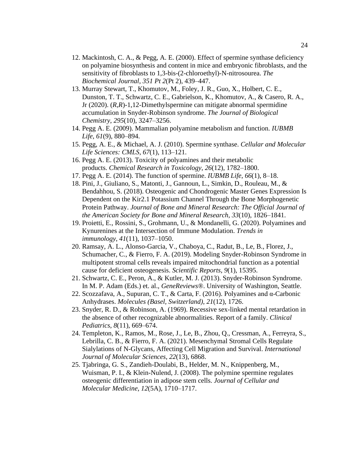- 12. Mackintosh, C. A., & Pegg, A. E. (2000). Effect of spermine synthase deficiency on polyamine biosynthesis and content in mice and embryonic fibroblasts, and the sensitivity of fibroblasts to 1,3-bis-(2-chloroethyl)-N-nitrosourea. *The Biochemical Journal*, *351 Pt 2*(Pt 2), 439–447.
- 13. Murray Stewart, T., Khomutov, M., Foley, J. R., Guo, X., Holbert, C. E., Dunston, T. T., Schwartz, C. E., Gabrielson, K., Khomutov, A., & Casero, R. A., Jr (2020). (*R*,*R*)-1,12-Dimethylspermine can mitigate abnormal spermidine accumulation in Snyder-Robinson syndrome. *The Journal of Biological Chemistry*, *295*(10), 3247–3256.
- 14. Pegg A. E. (2009). Mammalian polyamine metabolism and function. *IUBMB Life*, *61*(9), 880–894.
- 15. Pegg, A. E., & Michael, A. J. (2010). Spermine synthase. *Cellular and Molecular Life Sciences: CMLS*, *67*(1), 113–121.
- 16. Pegg A. E. (2013). Toxicity of polyamines and their metabolic products. *Chemical Research in Toxicology*, *26*(12), 1782–1800.
- 17. Pegg A. E. (2014). The function of spermine. *IUBMB Life*, *66*(1), 8–18.
- 18. Pini, J., Giuliano, S., Matonti, J., Gannoun, L., Simkin, D., Rouleau, M., & Bendahhou, S. (2018). Osteogenic and Chondrogenic Master Genes Expression Is Dependent on the Kir2.1 Potassium Channel Through the Bone Morphogenetic Protein Pathway. *Journal of Bone and Mineral Research: The Official Journal of the American Society for Bone and Mineral Research*, *33*(10), 1826–1841.
- 19. Proietti, E., Rossini, S., Grohmann, U., & Mondanelli, G. (2020). Polyamines and Kynurenines at the Intersection of Immune Modulation. *Trends in immunology*, *41*(11), 1037–1050.
- 20. Ramsay, A. L., Alonso-Garcia, V., Chaboya, C., Radut, B., Le, B., Florez, J., Schumacher, C., & Fierro, F. A. (2019). Modeling Snyder-Robinson Syndrome in multipotent stromal cells reveals impaired mitochondrial function as a potential cause for deficient osteogenesis. *Scientific Reports*, *9*(1), 15395.
- 21. Schwartz, C. E., Peron, A., & Kutler, M. J. (2013). Snyder-Robinson Syndrome. In M. P. Adam (Eds.) et. al., *GeneReviews®*. University of Washington, Seattle.
- 22. Scozzafava, A., Supuran, C. T., & Carta, F. (2016). Polyamines and α-Carbonic Anhydrases. *Molecules (Basel, Switzerland)*, *21*(12), 1726.
- 23. Snyder, R. D., & Robinson, A. (1969). Recessive sex-linked mental retardation in the absence of other recognizable abnormalities. Report of a family. *Clinical Pediatrics*, *8*(11), 669–674.
- 24. Templeton, K., Ramos, M., Rose, J., Le, B., Zhou, Q., Cressman, A., Ferreyra, S., Lebrilla, C. B., & Fierro, F. A. (2021). Mesenchymal Stromal Cells Regulate Sialylations of N-Glycans, Affecting Cell Migration and Survival. *International Journal of Molecular Sciences*, *22*(13), 6868.
- 25. Tjabringa, G. S., Zandieh-Doulabi, B., Helder, M. N., Knippenberg, M., Wuisman, P. I., & Klein-Nulend, J. (2008). The polymine spermine regulates osteogenic differentiation in adipose stem cells. *Journal of Cellular and Molecular Medicine*, *12*(5A), 1710–1717.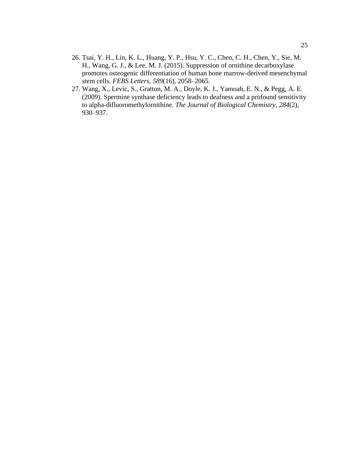- 26. Tsai, Y. H., Lin, K. L., Huang, Y. P., Hsu, Y. C., Chen, C. H., Chen, Y., Sie, M. H., Wang, G. J., & Lee, M. J. (2015). Suppression of ornithine decarboxylase promotes osteogenic differentiation of human bone marrow-derived mesenchymal stem cells. *FEBS Letters*, *589*(16), 2058–2065.
- 27. Wang, X., Levic, S., Gratton, M. A., Doyle, K. J., Yamoah, E. N., & Pegg, A. E. (2009). Spermine synthase deficiency leads to deafness and a profound sensitivity to alpha-difluoromethylornithine. *The Journal of Biological Chemistry*, *284*(2), 930–937.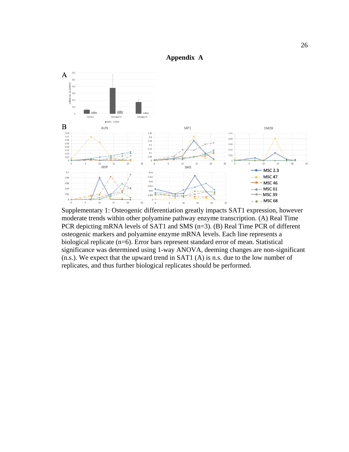

<span id="page-32-0"></span>

Supplementary 1: Osteogenic differentiation greatly impacts SAT1 expression, however moderate trends within other polyamine pathway enzyme transcription. (A) Real Time PCR depicting mRNA levels of SAT1 and SMS (n=3). (B) Real Time PCR of different osteogenic markers and polyamine enzyme mRNA levels. Each line represents a biological replicate (n=6). Error bars represent standard error of mean. Statistical significance was determined using 1-way ANOVA, deeming changes are non-significant (n.s.). We expect that the upward trend in SAT1 (A) is n.s. due to the low number of replicates, and thus further biological replicates should be performed.